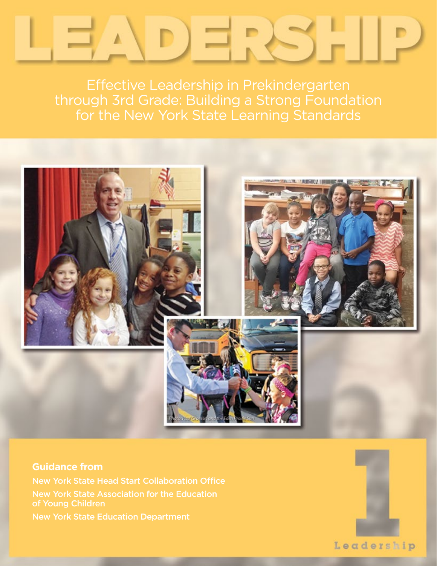Effective Leadership in Prekindergarten through 3rd Grade: Building a Strong Foundation for the New York State Learning Standards



**Guidance from** New York State Head Start Collaboration Office New York State Association for the Education of Young Children New York State Education Department

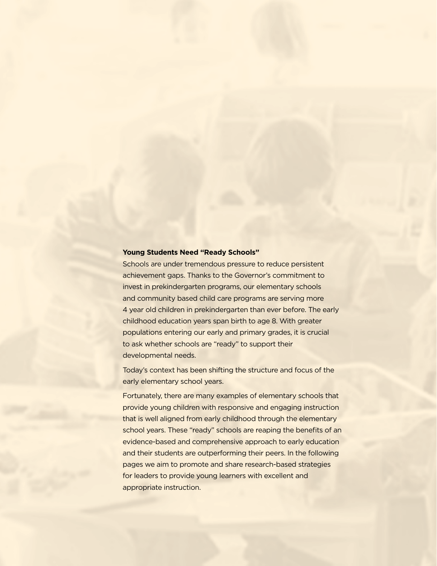#### **Young Students Need "Ready Schools"**

Schools are under tremendous pressure to reduce persistent achievement gaps. Thanks to the Governor's commitment to invest in prekindergarten programs, our elementary schools and community based child care programs are serving more 4 year old children in prekindergarten than ever before. The early childhood education years span birth to age 8. With greater populations entering our early and primary grades, it is crucial to ask whether schools are "ready" to support their developmental needs.

Today's context has been shifting the structure and focus of the early elementary school years.

Fortunately, there are many examples of elementary schools that provide young children with responsive and engaging instruction that is well aligned from early childhood through the elementary school years. These "ready" schools are reaping the benefits of an evidence-based and comprehensive approach to early education and their students are outperforming their peers. In the following pages we aim to promote and share research-based strategies for leaders to provide young learners with excellent and appropriate instruction.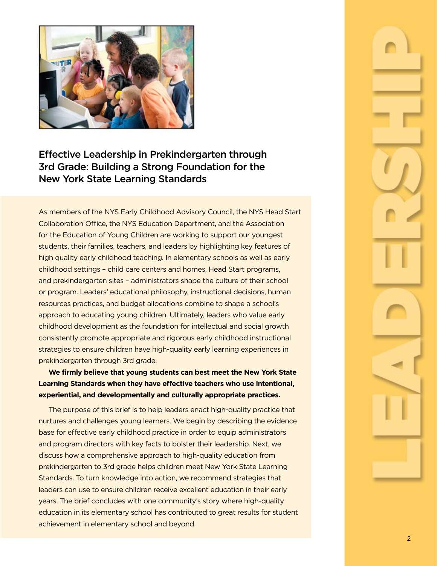

# Effective Leadership in Prekindergarten through 3rd Grade: Building a Strong Foundation for the New York State Learning Standards

As members of the NYS Early Childhood Advisory Council, the NYS Head Start Collaboration Office, the NYS Education Department, and the Association for the Education of Young Children are working to support our youngest students, their families, teachers, and leaders by highlighting key features of high quality early childhood teaching. In elementary schools as well as early childhood settings – child care centers and homes, Head Start programs, and prekindergarten sites – administrators shape the culture of their school or program. Leaders' educational philosophy, instructional decisions, human resources practices, and budget allocations combine to shape a school's approach to educating young children. Ultimately, leaders who value early childhood development as the foundation for intellectual and social growth consistently promote appropriate and rigorous early childhood instructional strategies to ensure children have high-quality early learning experiences in prekindergarten through 3rd grade.

# **We firmly believe that young students can best meet the New York State Learning Standards when they have effective teachers who use intentional, experiential, and developmentally and culturally appropriate practices.**

The purpose of this brief is to help leaders enact high-quality practice that nurtures and challenges young learners. We begin by describing the evidence base for effective early childhood practice in order to equip administrators and program directors with key facts to bolster their leadership. Next, we discuss how a comprehensive approach to high-quality education from prekindergarten to 3rd grade helps children meet New York State Learning Standards. To turn knowledge into action, we recommend strategies that leaders can use to ensure children receive excellent education in their early years. The brief concludes with one community's story where high-quality education in its elementary school has contributed to great results for student achievement in elementary school and beyond.

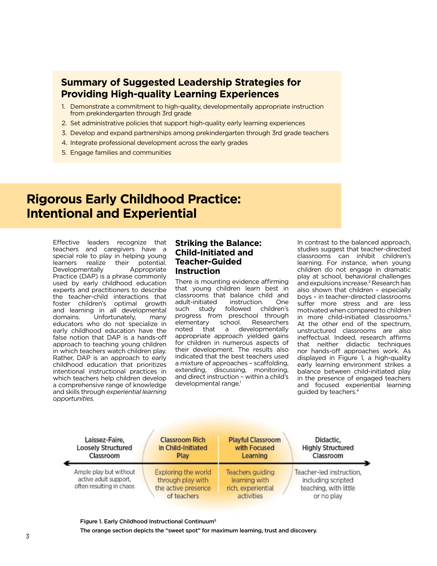# **Summary of Suggested Leadership Strategies for Providing High-quality Learning Experiences**

- 1. Demonstrate a commitment to high-quality, developmentally appropriate instruction from prekindergarten through 3rd grade
- 2. Set administrative policies that support high-quality early learning experiences
- 3. Develop and expand partnerships among prekindergarten through 3rd grade teachers
- 4. Integrate professional development across the early grades
- 5. Engage families and communities

# **Rigorous Early Childhood Practice: Intentional and Experiential**

Effective leaders recognize that teachers and caregivers have a special role to play in helping young learners realize their potential. Developmentally Appropriate Practice (DAP) is a phrase commonly used by early childhood education experts and practitioners to describe the teacher-child interactions that foster children's optimal growth and learning in all developmental<br>domains. Unfortunately, many Unfortunately, educators who do not specialize in early childhood education have the false notion that DAP is a hands-off approach to teaching young children in which teachers watch children play. Rather, DAP is an approach to early childhood education that prioritizes intentional instructional practices in which teachers help children develop a comprehensive range of knowledge and skills through *experiential learning opportunities.*

### **Striking the Balance: Child-Initiated and Teacher-Guided Instruction**

There is mounting evidence affirming that young children learn best in classrooms that balance child and adult-initiated such study followed children's progress from preschool through elementary school. Researchers noted that a developmentally appropriate approach yielded gains for children in numerous aspects of their development. The results also indicated that the best teachers used a mixture of approaches – scaffolding, extending, discussing, monitoring, and direct instruction – within a child's developmental range.<sup>1</sup>

In contrast to the balanced approach, studies suggest that teacher-directed classrooms can inhibit children's learning. For instance, when young children do not engage in dramatic play at school, behavioral challenges and expulsions increase.2 Research has also shown that children – especially boys – in teacher-directed classrooms suffer more stress and are less motivated when compared to children in more child-initiated classrooms.<sup>3</sup> At the other end of the spectrum, unstructured classrooms are also ineffectual. Indeed, research affirms that neither didactic techniques nor hands-off approaches work. As displayed in Figure 1, a high-quality early learning environment strikes a balance between child-initiated play in the presence of engaged teachers and focused experiential learning guided by teachers.4

| Laissez-Faire,                                                              | <b>Classroom Rich</b>                                                          | <b>Playful Classroom</b>                                              | Didactic,                                                                             |
|-----------------------------------------------------------------------------|--------------------------------------------------------------------------------|-----------------------------------------------------------------------|---------------------------------------------------------------------------------------|
| <b>Loosely Structured</b>                                                   | in Child-Initiated                                                             | with Focused                                                          | <b>Highly Structured</b>                                                              |
| Classroom                                                                   | Play                                                                           | Learning                                                              | Classroom                                                                             |
| Ample play but without<br>active adult support,<br>often resulting in chaos | Exploring the world<br>through play with<br>the active presence<br>of teachers | Teachers guiding<br>learning with<br>rich, experiential<br>activities | Teacher-led instruction,<br>including scripted<br>teaching, with little<br>or no play |

Figure 1. Early Childhood Instructional Continuum5 The orange section depicts the "sweet spot" for maximum learning, trust and discovery.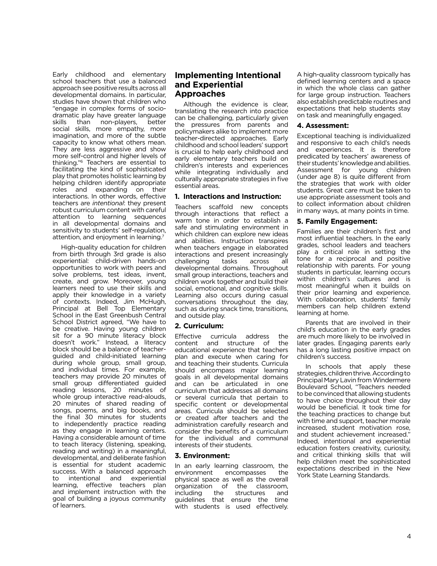Early childhood and elementary school teachers that use a balanced approach see positive results across all developmental domains. In particular, studies have shown that children who "engage in complex forms of sociodramatic play have greater language skills than non-players, better social skills, more empathy, more imagination, and more of the subtle capacity to know what others mean. They are less aggressive and show more self-control and higher levels of thinking."6 Teachers are essential to facilitating the kind of sophisticated play that promotes holistic learning by helping children identify appropriate roles and expanding on their interactions. In other words, effective teachers are *intentional*: they present robust curriculum content with careful attention to learning sequences in all developmental domains and sensitivity to students' self-regulation, attention, and enjoyment in learning.7

High-quality education for children from birth through 3rd grade is also experiential: child-driven hands-on opportunities to work with peers and solve problems, test ideas, invent, create, and grow. Moreover, young learners need to use their skills and apply their knowledge in a variety of contexts. Indeed, Jim McHugh, Principal at Bell Top Elementary School in the East Greenbush Central School District agreed, "We have to be creative. Having young children sit for a 90 minute literacy block doesn't work." Instead, a literacy block should be a balance of teacherguided and child-initiated learning during whole group, small group, and individual times. For example, teachers may provide 20 minutes of small group differentiated guided reading lessons, 20 minutes of whole group interactive read-alouds, 20 minutes of shared reading of songs, poems, and big books, and the final 30 minutes for students to independently practice reading as they engage in learning centers. Having a considerable amount of time to teach literacy (listening, speaking, reading and writing) in a meaningful, developmental, and deliberate fashion is essential for student academic success. With a balanced approach to intentional and experiential learning, effective teachers plan and implement instruction with the goal of building a joyous community of learners.

# **Implementing Intentional and Experiential Approaches**

Although the evidence is clear, translating the research into practice can be challenging, particularly given the pressures from parents and policymakers alike to implement more teacher-directed approaches. Early childhood and school leaders' support is crucial to help early childhood and early elementary teachers build on children's interests and experiences while integrating individually and culturally appropriate strategies in five essential areas.

#### **1. Interactions and Instruction:**

Teachers scaffold new concepts through interactions that reflect a warm tone in order to establish a safe and stimulating environment in which children can explore new ideas and abilities. Instruction transpires when teachers engage in elaborated interactions and present increasingly<br>challenging tasks across all challenging tasks across all developmental domains. Throughout small group interactions, teachers and children work together and build their social, emotional, and cognitive skills. Learning also occurs during casual conversations throughout the day, such as during snack time, transitions, and outside play.

#### **2. Curriculum:**

Effective curricula address the content and structure of the educational experience that teachers plan and execute when caring for and teaching their students. Curricula should encompass major learning goals in all developmental domains and can be articulated in one curriculum that addresses all domains or several curricula that pertain to specific content or developmental areas. Curricula should be selected or created after teachers and the administration carefully research and consider the benefits of a curriculum for the individual and communal interests of their students.

#### **3. Environment:**

In an early learning classroom, the<br>environment encompasses the encompasses the physical space as well as the overall organization of the classroom,<br>including the structures and including the structures and guidelines that ensure the time with students is used effectively.

A high-quality classroom typically has defined learning centers and a space in which the whole class can gather for large group instruction. Teachers also establish predictable routines and expectations that help students stay on task and meaningfully engaged.

#### **4. Assessment:**

Exceptional teaching is individualized and responsive to each child's needs and experiences. It is therefore predicated by teachers' awareness of their students' knowledge and abilities. Assessment for young children (under age 8) is quite different from the strategies that work with older students. Great care must be taken to use appropriate assessment tools and to collect information about children in many ways, at many points in time.

#### **5. Family Engagement:**

Families are their children's first and most influential teachers. In the early grades, school leaders and teachers play a critical role in setting the tone for a reciprocal and positive relationship with parents. For young students in particular, learning occurs within children's cultures and is most meaningful when it builds on their prior learning and experience. With collaboration, students' family members can help children extend learning at home.

Parents that are involved in their child's education in the early grades are much more likely to be involved in later grades. Engaging parents early has a long lasting positive impact on children's success.

In schools that apply these strategies, children thrive. According to Principal Mary Lavin from Windermere Boulevard School, "Teachers needed to be convinced that allowing students to have choice throughout their day would be beneficial. It took time for the teaching practices to change but with time and support, teacher morale increased, student motivation rose, and student achievement increased." Indeed, intentional and experiential education fosters creativity, curiosity, and critical thinking skills that will help children meet the sophisticated expectations described in the New York State Learning Standards.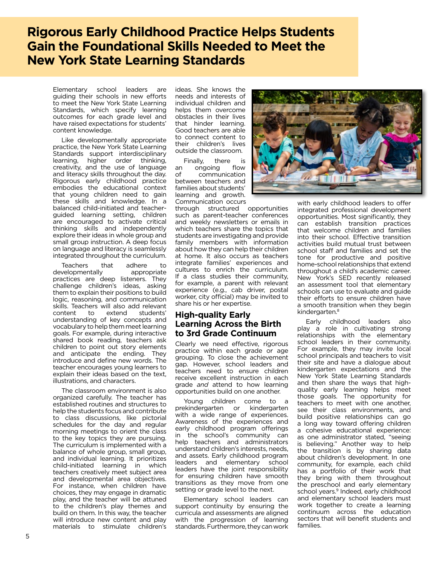# **Rigorous Early Childhood Practice Helps Students Gain the Foundational Skills Needed to Meet the New York State Learning Standards**

Elementary school leaders are guiding their schools in new efforts to meet the New York State Learning Standards, which specify learning outcomes for each grade level and have raised expectations for students' content knowledge.

Like developmentally appropriate practice, the New York State Learning Standards support interdisciplinary learning, higher order thinking, creativity, and the use of language and literacy skills throughout the day. Rigorous early childhood practice embodies the educational context that young children need to gain these skills and knowledge. In a balanced child-initiated and teacherguided learning setting, children are encouraged to activate critical thinking skills and independently explore their ideas in whole group and small group instruction. A deep focus on language and literacy is seamlessly integrated throughout the curriculum.

Teachers that adhere to developmentally practices are deep listeners. They challenge children's ideas, asking them to explain their positions to build logic, reasoning, and communication skills. Teachers will also add relevant<br>content to extend students' extend understanding of key concepts and vocabulary to help them meet learning goals. For example, during interactive shared book reading, teachers ask children to point out story elements and anticipate the ending. They introduce and define new words. The teacher encourages young learners to explain their ideas based on the text, illustrations, and characters.

The classroom environment is also organized carefully. The teacher has established routines and structures to help the students focus and contribute to class discussions, like pictorial schedules for the day and regular morning meetings to orient the class to the key topics they are pursuing. The curriculum is implemented with a balance of whole group, small group, and individual learning. It prioritizes child-initiated learning in which teachers creatively meet subject area and developmental area objectives. For instance, when children have choices, they may engage in dramatic play, and the teacher will be attuned to the children's play themes and build on them. In this way, the teacher will introduce new content and play materials to stimulate children's

ideas. She knows the needs and interests of individual children and helps them overcome obstacles in their lives that hinder learning. Good teachers are able to connect content to their children's lives outside the classroom.

Finally, there is<br>ongoing flow an ongoing of communication between teachers and families about students' learning and growth. Communication occurs

through structured opportunities such as parent-teacher conferences and weekly newsletters or emails in which teachers share the topics that students are investigating and provide family members with information about how they can help their children at home. It also occurs as teachers integrate families' experiences and cultures to enrich the curriculum. If a class studies their community, for example, a parent with relevant experience (e.g., cab driver, postal worker, city official) may be invited to share his or her expertise.

# **High-quality Early Learning Across the Birth to 3rd Grade Continuum**

Clearly we need effective, rigorous practice within each grade or age grouping. To close the achievement gap. However, school leaders and teachers need to ensure children receive excellent instruction in each grade *and* attend to how learning opportunities build on one another.

Young children come to a prekindergarten or kindergarten with a wide range of experiences. Awareness of the experiences and early childhood program offerings in the school's community can help teachers and administrators understand children's interests, needs, and assets. Early childhood program leaders and elementary school leaders have the joint responsibility for ensuring children have smooth transitions as they move from one setting or grade level to the next.

Elementary school leaders can support continuity by ensuring the curricula and assessments are aligned with the progression of learning standards. Furthermore, they can work



with early childhood leaders to offer integrated professional development opportunities. Most significantly, they can establish transition practices that welcome children and families into their school. Effective transition activities build mutual trust between school staff and families and set the tone for productive and positive home-school relationships that extend throughout a child's academic career. New York's SED recently released an assessment tool that elementary schools can use to evaluate and guide their efforts to ensure children have a smooth transition when they begin kindergarten.<sup>8</sup>

Early childhood leaders also play a role in cultivating strong relationships with the elementary school leaders in their community. For example, they may invite local school principals and teachers to visit their site and have a dialogue about kindergarten expectations and the New York State Learning Standards and then share the ways that highquality early learning helps meet those goals. The opportunity for teachers to meet with one another, see their class environments, and build positive relationships can go a long way toward offering children a cohesive educational experience: as one administrator stated, "seeing is believing." Another way to help the transition is by sharing data about children's development. In one community, for example, each child has a portfolio of their work that they bring with them throughout the preschool and early elementary school years.<sup>9</sup> Indeed, early childhood and elementary school leaders must work together to create a learning continuum across the education sectors that will benefit students and families.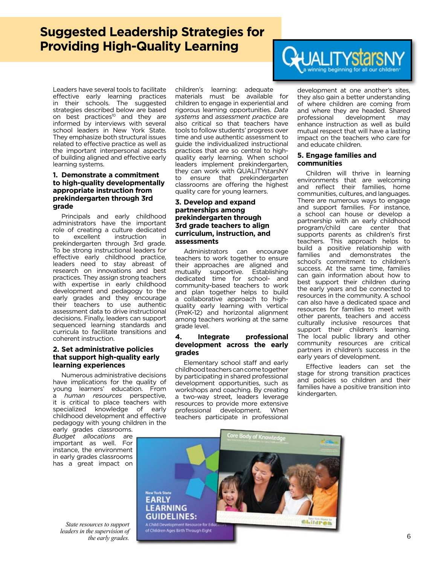# **Suggested Leadership Strategies for Providing High-Quality Learning**

Leaders have several tools to facilitate effective early learning practices in their schools. The suggested strategies described below are based on best practices<sup>10</sup> and they are informed by interviews with several school leaders in New York State. They emphasize both structural issues related to effective practice as well as the important interpersonal aspects of building aligned and effective early learning systems.

#### **1. Demonstrate a commitment to high-quality developmentally appropriate instruction from prekindergarten through 3rd grade**

Principals and early childhood administrators have the important role of creating a culture dedicated to excellent instruction in prekindergarten through 3rd grade. To be strong instructional leaders for effective early childhood practice, leaders need to stay abreast of research on innovations and best practices. They assign strong teachers with expertise in early childhood development and pedagogy to the early grades and they encourage their teachers to use authentic assessment data to drive instructional decisions. Finally, leaders can support sequenced learning standards and curricula to facilitate transitions and coherent instruction.

#### **2. Set administrative policies that support high-quality early learning experiences**

Numerous administrative decisions have implications for the quality of young learners' education. From a *human resources* perspective, it is critical to place teachers with specialized knowledge of early childhood development and effective pedagogy with young children in the

early grades classrooms. *Budget allocations* are important as well. For instance, the environment in early grades classrooms has a great impact on

*State resources to support leaders in the supervision of the early grades.* 6

children's learning: adequate materials must be available for children to engage in experiential and rigorous learning opportunities. *Data systems* and *assessment practice* are also critical so that teachers have tools to follow students' progress over time and use authentic assessment to guide the individualized instructional practices that are so central to highquality early learning. When school leaders implement prekindergarten, they can work with QUALITYstarsNY to ensure that prekindergarten classrooms are offering the highest quality care for young learners.

#### **3. Develop and expand partnerships among prekindergarten through 3rd grade teachers to align curriculum, instruction, and assessments**

Administrators can encourage teachers to work together to ensure their approaches are aligned and mutually supportive. Establishing dedicated time for school- and community-based teachers to work and plan together helps to build a collaborative approach to highquality early learning with vertical (PreK-12) and horizontal alignment among teachers working at the same grade level.

#### **4. Integrate professional development across the early grades**

Elementary school staff and early childhood teachers can come together by participating in shared professional development opportunities, such as workshops and coaching. By creating a two-way street, leaders leverage resources to provide more extensive professional development. When teachers participate in professional



development at one another's sites, they also gain a better understanding of where children are coming from and where they are headed. Shared<br>professional development may development enhance instruction as well as build mutual respect that will have a lasting impact on the teachers who care for and educate children.

#### **5. Engage families and communities**

Children will thrive in learning environments that are welcoming and reflect their families, home communities, cultures, and languages. There are numerous ways to engage and support families. For instance, a school can house or develop a partnership with an early childhood program/child care center that supports parents as children's first teachers. This approach helps to build a positive relationship with<br>families and demonstrates the and demonstrates school's commitment to children's success. At the same time, families can gain information about how to best support their children during the early years and be connected to resources in the community. A school can also have a dedicated space and resources for families to meet with other parents, teachers and access culturally inclusive resources that support their children's learning. The local public library and other community resources are critical partners in children's success in the early years of development.

Effective leaders can set the stage for strong transition practices and policies so children and their families have a positive transition into kindergarten.

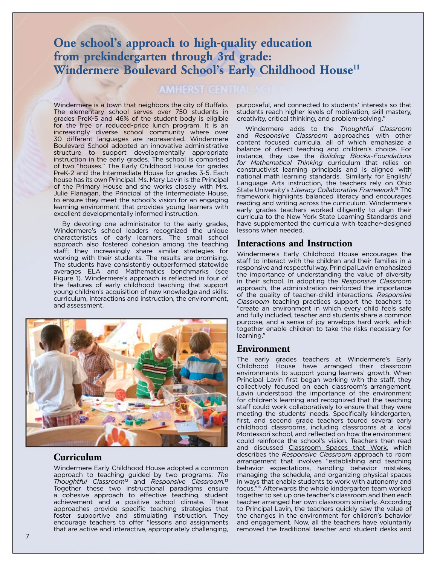# **One school's approach to high-quality education from prekindergarten through 3rd grade: Windermere Boulevard School's Early Childhood House11**

# **AMHERST CENTRA**

Windermere is a town that neighbors the city of Buffalo. The elementary school serves over 750 students in grades PreK-5 and 46% of the student body is eligible for the free or reduced-price lunch program. It is an increasingly diverse school community where over 30 different languages are represented. Windermere Boulevard School adopted an innovative administrative structure to support developmentally appropriate instruction in the early grades. The school is comprised of two "houses." The Early Childhood House for grades PreK-2 and the Intermediate House for grades 3-5. Each house has its own Principal. Ms. Mary Lavin is the Principal of the Primary House and she works closely with Mrs. Julie Flanagan, the Principal of the Intermediate House, to ensure they meet the school's vision for an engaging learning environment that provides young learners with excellent developmentally informed instruction.

By devoting one administrator to the early grades, Windermere's school leaders recognized the unique characteristics of early learners. The small school approach also fostered cohesion among the teaching staff; they increasingly share similar strategies for working with their students. The results are promising. The students have consistently outperformed statewide averages ELA and Mathematics benchmarks (see Figure 1). Windermere's approach is reflected in four of the features of early childhood teaching that support young children's acquisition of new knowledge and skills: curriculum, interactions and instruction, the environment, and assessment.



# **Curriculum**

Windermere Early Childhood House adopted a common approach to teaching guided by two programs: *The Thoughtful Classroom12* and *Responsive Classroom.*<sup>13</sup> Together these two instructional paradigms ensure a cohesive approach to effective teaching, student achievement and a positive school climate. These approaches provide specific teaching strategies that foster supportive and stimulating instruction. They encourage teachers to offer "lessons and assignments that are active and interactive, appropriately challenging,

purposeful, and connected to students' interests so that students reach higher levels of motivation, skill mastery, creativity, critical thinking, and problem-solving."

Windermere adds to the *Thoughtful Classroom*  and *Responsive Classroom* approaches with other content focused curricula, all of which emphasize a balance of direct teaching and children's choice. For instance, they use the *Building Blocks–Foundations for Mathematical Thinking* curriculum that relies on constructivist learning principals and is aligned with national math learning standards. Similarly, for English/ Language Arts instruction, the teachers rely on Ohio State University's *Literacy Collaborative Framework*. 15 The framework highlights balanced literacy and encourages reading and writing across the curriculum. Windermere's early grades teachers worked diligently to align their curricula to the New York State Learning Standards and have supplemented the curricula with teacher-designed lessons when needed.

## **Interactions and Instruction**

Windermere's Early Childhood House encourages the staff to interact with the children and their families in a responsive and respectful way. Principal Lavin emphasized the importance of understanding the value of diversity in their school. In adopting the *Responsive Classroom* approach, the administration reinforced the importance of the quality of teacher-child interactions. *Responsive Classroom* teaching practices support the teachers to "create an environment in which every child feels safe and fully included, teacher and students share a common purpose, and a sense of joy envelops hard work, which together enable children to take the risks necessary for learning."

#### **Environment**

The early grades teachers at Windermere's Early Childhood House have arranged their classroom environments to support young learners' growth. When Principal Lavin first began working with the staff, they collectively focused on each classroom's arrangement. Lavin understood the importance of the environment for children's learning and recognized that the teaching staff could work collaboratively to ensure that they were meeting the students' needs. Specifically kindergarten, first, and second grade teachers toured several early childhood classrooms, including classrooms at a local Montessori school, and reflected on how the environment could reinforce the school's vision. Teachers then read and discussed Classroom Spaces that Work, which describes the *Responsive Classroom* approach to room arrangement that involves "establishing and teaching behavior expectations, handling behavior mistakes, managing the schedule, and organizing physical spaces in ways that enable students to work with autonomy and focus."16 Afterwards the whole kindergarten team worked together to set up one teacher's classroom and then each teacher arranged her own classroom similarly. According to Principal Lavin, the teachers quickly saw the value of the changes in the environment for children's behavior and engagement. Now, all the teachers have voluntarily removed the traditional teacher and student desks and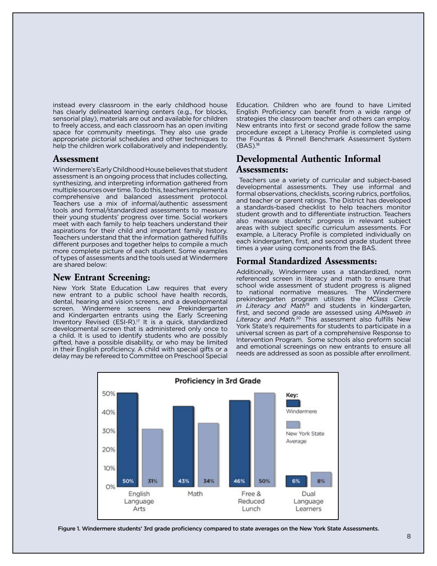instead every classroom in the early childhood house has clearly delineated learning centers (e.g., for blocks, sensorial play), materials are out and available for children to freely access, and each classroom has an open inviting space for community meetings. They also use grade appropriate pictorial schedules and other techniques to help the children work collaboratively and independently.

### **Assessment**

Windermere's Early Childhood House believes that student assessment is an ongoing process that includes collecting, synthesizing, and interpreting information gathered from multiple sources over time. To do this, teachers implement a comprehensive and balanced assessment protocol. Teachers use a mix of informal/authentic assessment tools and formal/standardized assessments to measure their young students' progress over time. Social workers meet with each family to help teachers understand their aspirations for their child and important family history. Teachers understand that the information gathered fulfills different purposes and together helps to compile a much more complete picture of each student. Some examples of types of assessments and the tools used at Windermere are shared below:

## **New Entrant Screening:**

New York State Education Law requires that every new entrant to a public school have health records, dental, hearing and vision screens, and a developmental screen. Windermere screens new Prekindergarten and Kindergarten entrants using the Early Screening Inventory Revised  $(ESI-R).<sup>17</sup>$  It is a quick, standardized developmental screen that is administered only once to a child. It is used to identify students who are possibly gifted, have a possible disability, or who may be limited in their English proficiency. A child with special gifts or a delay may be refereed to Committee on Preschool Special

Education. Children who are found to have Limited English Proficiency can benefit from a wide range of strategies the classroom teacher and others can employ. New entrants into first or second grade follow the same procedure except a Literacy Profile is completed using the Fountas & Pinnell Benchmark Assessment System (BAS).18

# **Developmental Authentic Informal**

### **Assessments:**

 Teachers use a variety of curricular and subject-based developmental assessments. They use informal and formal observations, checklists, scoring rubrics, portfolios, and teacher or parent ratings. The District has developed a standards-based checklist to help teachers monitor student growth and to differentiate instruction. Teachers also measure students' progress in relevant subject areas with subject specific curriculum assessments. For example, a Literacy Profile is completed individually on each kindergarten, first, and second grade student three times a year using components from the BAS.

## **Formal Standardized Assessments:**

Additionally, Windermere uses a standardized, norm referenced screen in literacy and math to ensure that school wide assessment of student progress is aligned to national normative measures. The Windermere prekindergarten program utilizes the *MClass Circle in Literacy and Math*19 and students in kindergarten, first, and second grade are assessed using *AIMsweb in Literacy and Math.*20 This assessment also fulfills New York State's requirements for students to participate in a universal screen as part of a comprehensive Response to Intervention Program. Some schools also preform social and emotional screenings on new entrants to ensure all needs are addressed as soon as possible after enrollment.



Figure 1. Windermere students' 3rd grade proficiency compared to state averages on the New York State Assessments.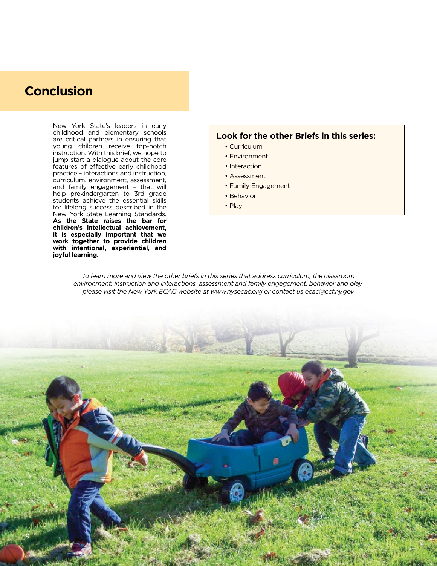# **Conclusion**

New York State's leaders in early childhood and elementary schools are critical partners in ensuring that young children receive top-notch instruction. With this brief, we hope to jump start a dialogue about the core features of effective early childhood practice – interactions and instruction, curriculum, environment, assessment, and family engagement – that will help prekindergarten to 3rd grade students achieve the essential skills for lifelong success described in the New York State Learning Standards. **As the State raises the bar for children's intellectual achievement, it is especially important that we work together to provide children with intentional, experiential, and joyful learning.** 

### **Look for the other Briefs in this series:**

- Curriculum
- Environment
- Interaction
- Assessment
- Family Engagement
- Behavior
- Play

*To learn more and view the other briefs in this series that address curriculum, the classroom environment, instruction and interactions, assessment and family engagement, behavior and play, please visit the New York ECAC website at www.nysecac.org or contact us ecac@ccf.ny.gov*

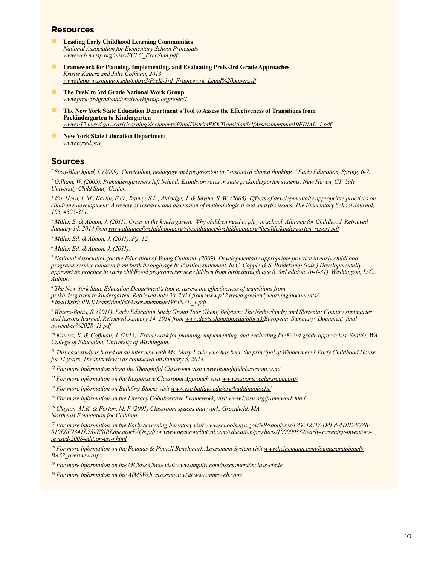### **Resources**

- n **Leading Early Childhood Learning Communities** *National Association for Elementary School Principals www.web.naesp.org/misc/ECLC\_ExecSum.pdf*
- **Framework for Planning, Implementing, and Evaluating PreK-3rd Grade Approaches** *Kristie Kauerz and Julie Coffman, 2013 www.depts.washington.edu/pthru3/PreK-3rd\_Framework\_Legal%20paper.pdf*
- **n The PreK to 3rd Grade National Work Group** *www.prek-3rdgradenationalworkgroup.org/node/1*
- **n The New York State Education Department's Tool to Assess the Effectiveness of Transitions from Prekindergarten to Kindergarten** *www.p12.nysed.gov/earlylearning/documents/FinalDistrictPKKTransitionSelfAssessmentmar19FINAL\_1.pdf*
- n **New York State Education Department**  *www.nysed.gov*

# **Sources**

*1 Siraj-Blatchford, I. (2009). Curriculum, pedagogy and progression in "sustained shared thinking." Early Education, Spring, 6-7.*

*2 Gilliam, W. (2005). Prekindergarteners left behind: Expulsion rates in state prekindergarten systems. New Haven, CT: Yale University Child Study Center.*

*3 Van Horn, L.M., Karlin, E.O., Ramey, S.L., Aldridge, J. & Snyder, S. W. (2005). Effects of developmentally appropriate practices on children's development: A review of research and discussion of methodological and analytic issues. The Elementary School Journal, 105, 4325-351.*

*4 Miller, E. & Almon, J. (2011). Crisis in the kindergarten: Why children need to play in school. Alliance for Childhood. Retrieved January 14, 2014 from www.allianceforchildhood.org/sites/allianceforchildhood.org/files/file/kindergarten\_report.pdf*

*5 Miller, Ed. & Almon, J. (2011). Pg. 12*

*6 Miller, Ed. & Almon, J. (2011).* 

*7 National Association for the Education of Young Children. (2009). Developmentally appropriate practice in early childhood programs service children from birth through age 8: Position statement. In C. Copple & S. Bredekamp (Eds.) Developmentally appropriate practice in early childhood programs service children from birth through age 8. 3rd edition. (p-1-31). Washington, D.C.: Author.*

<sup>8</sup> The New York State Education Department's tool to assess the effectiveness of transitions from *prekindergarten to kindergarten. Retrieved July 30, 2014 from www.p12.nysed.gov/earlylearning/documents/ FinalDistrictPKKTransitionSelfAssessmentmar19FINAL\_1.pdf*

*9 Waters-Boots, S. (2011). Early Education Study Group Tour Ghent, Belgium; The Netherlands; and Slovenia: Country summaries and lessons learned. Retrieved January 24, 2014 from www.depts.shington.edu/pthru3/European\_Summary\_Document\_final\_ november%2028\_11.pdf*

*10 Kauerz, K. & Coffman, J. (2013). Framework for planning, implementing, and evaluating PreK-3rd grade approaches. Seattle, WA: College of Education, University of Washington.*

*11 This case study is based on an interview with Ms. Mary Lavin who has been the principal of Windermere's Early Childhood House for 11 years. The interview was conducted on January 3, 2014.*

<sup>12</sup> For more information about the Thoughtful Classroom visit www.thoughtfulclassroom.com/

<sup>13</sup> For more information on the Responsive Classroom Approach visit www.responsiveclassroom.org/

*14 For more information on Building Blocks visit www.gse.buffalo.edu/org/buildingblocks/*

*15 For more information on the Literacy Collaborative Framework, visit www.lcosu.org/framework.html*

*16 Clayton, M.K. & Forton, M. F (2001) Classroom spaces that work. Greenfield, MA*

*Northeast Foundation for Children.*

*17 For more information on the Early Screening Inventory visit www.schools.nyc.gov/NR/rdonlyres/F497EC47-D4F8-41BD-828B-010E0F2341E7/0/ESIREducatorFAQs.pdf or www.pearsonclinical.com/education/products/100000382/early-screening-inventoryrevised-2008-edition-esi-r.html*

<sup>18</sup> For more information on the Fountas & Pinnell Benchmark Assessment System visit www.heinemann.com/fountasandpinnell/ *BAS2\_overview.aspx*

*19 For more information on the MClass Circle visit www.amplify.com/assessment/mclass-circle*

*20 For more information on the AIMSWeb assessment visit www.aimsweb.com/*